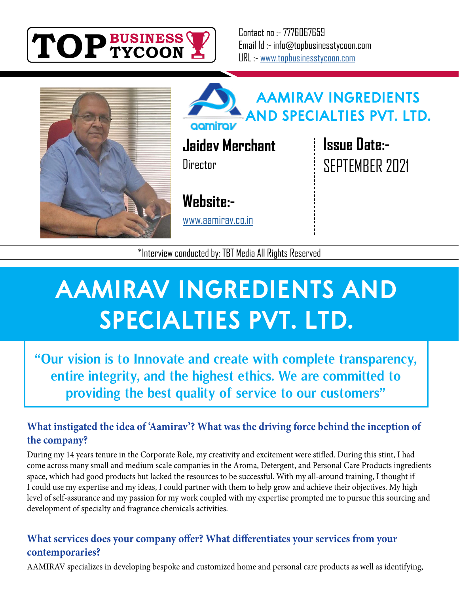

Contact no :- 7776067659 Email Id :- info@topbusinesstycoon.com URL :- [www.topbusinesstycoon.com](https://www.topbusinesstycoon.com/)





**Jaidev Merchant Director** 

**[Website:-](http://aamirav.co.in/)**

www.aamirav.co.in

**Issue Date:-** SEPTEMBER 2021

\*Interview conducted by: TBT Media All Rights Reserved

# **AAMIRAV INGREDIENTS AND SPECIALTIES PVT. LTD.**

**"Our vision is to Innovate and create with complete transparency, entire integrity, and the highest ethics. We are committed to providing the best quality of service to our customers"**

# **What instigated the idea of 'Aamirav'? What was the driving force behind the inception of the company?**

During my 14 years tenure in the Corporate Role, my creativity and excitement were stifled. During this stint, I had come across many small and medium scale companies in the Aroma, Detergent, and Personal Care Products ingredients space, which had good products but lacked the resources to be successful. With my all-around training, I thought if I could use my expertise and my ideas, I could partner with them to help grow and achieve their objectives. My high level of self-assurance and my passion for my work coupled with my expertise prompted me to pursue this sourcing and development of specialty and fragrance chemicals activities.

# **What services does your company offer? What differentiates your services from your contemporaries?**

AAMIRAV specializes in developing bespoke and customized home and personal care products as well as identifying,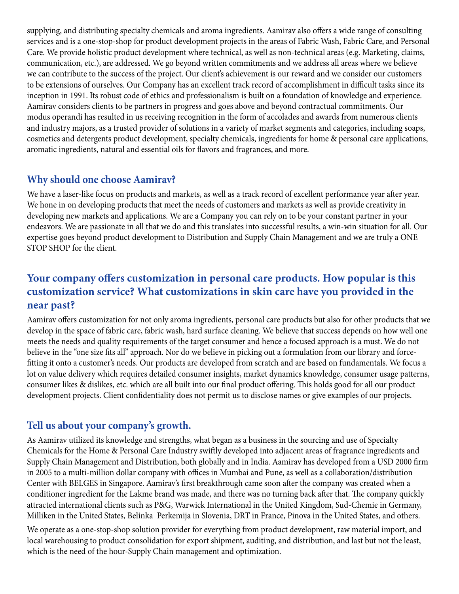supplying, and distributing specialty chemicals and aroma ingredients. Aamirav also offers a wide range of consulting services and is a one-stop-shop for product development projects in the areas of Fabric Wash, Fabric Care, and Personal Care. We provide holistic product development where technical, as well as non-technical areas (e.g. Marketing, claims, communication, etc.), are addressed. We go beyond written commitments and we address all areas where we believe we can contribute to the success of the project. Our client's achievement is our reward and we consider our customers to be extensions of ourselves. Our Company has an excellent track record of accomplishment in difficult tasks since its inception in 1991. Its robust code of ethics and professionalism is built on a foundation of knowledge and experience. Aamirav considers clients to be partners in progress and goes above and beyond contractual commitments. Our modus operandi has resulted in us receiving recognition in the form of accolades and awards from numerous clients and industry majors, as a trusted provider of solutions in a variety of market segments and categories, including soaps, cosmetics and detergents product development, specialty chemicals, ingredients for home & personal care applications, aromatic ingredients, natural and essential oils for flavors and fragrances, and more.

# **Why should one choose Aamirav?**

We have a laser-like focus on products and markets, as well as a track record of excellent performance year after year. We hone in on developing products that meet the needs of customers and markets as well as provide creativity in developing new markets and applications. We are a Company you can rely on to be your constant partner in your endeavors. We are passionate in all that we do and this translates into successful results, a win-win situation for all. Our expertise goes beyond product development to Distribution and Supply Chain Management and we are truly a ONE STOP SHOP for the client.

# **Your company offers customization in personal care products. How popular is this customization service? What customizations in skin care have you provided in the near past?**

Aamirav offers customization for not only aroma ingredients, personal care products but also for other products that we develop in the space of fabric care, fabric wash, hard surface cleaning. We believe that success depends on how well one meets the needs and quality requirements of the target consumer and hence a focused approach is a must. We do not believe in the "one size fits all" approach. Nor do we believe in picking out a formulation from our library and forcefitting it onto a customer's needs. Our products are developed from scratch and are based on fundamentals. We focus a lot on value delivery which requires detailed consumer insights, market dynamics knowledge, consumer usage patterns, consumer likes & dislikes, etc. which are all built into our final product offering. This holds good for all our product development projects. Client confidentiality does not permit us to disclose names or give examples of our projects.

# **Tell us about your company's growth.**

As Aamirav utilized its knowledge and strengths, what began as a business in the sourcing and use of Specialty Chemicals for the Home & Personal Care Industry swiftly developed into adjacent areas of fragrance ingredients and Supply Chain Management and Distribution, both globally and in India. Aamirav has developed from a USD 2000 firm in 2005 to a multi-million dollar company with offices in Mumbai and Pune, as well as a collaboration/distribution Center with BELGES in Singapore. Aamirav's first breakthrough came soon after the company was created when a conditioner ingredient for the Lakme brand was made, and there was no turning back after that. The company quickly attracted international clients such as P&G, Warwick International in the United Kingdom, Sud-Chemie in Germany, Milliken in the United States, Belinka Perkemija in Slovenia, DRT in France, Pinova in the United States, and others.

We operate as a one-stop-shop solution provider for everything from product development, raw material import, and local warehousing to product consolidation for export shipment, auditing, and distribution, and last but not the least, which is the need of the hour-Supply Chain management and optimization.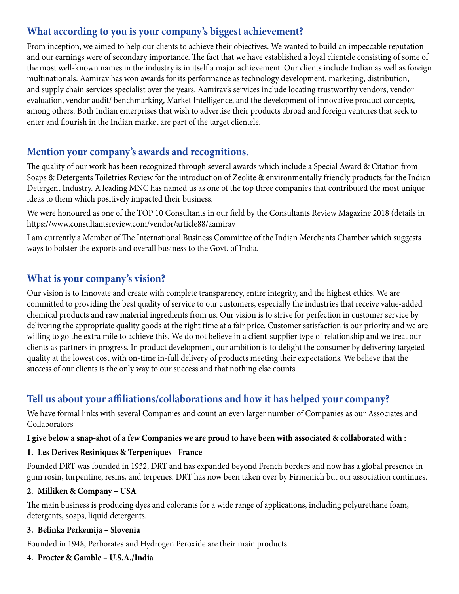# **What according to you is your company's biggest achievement?**

From inception, we aimed to help our clients to achieve their objectives. We wanted to build an impeccable reputation and our earnings were of secondary importance. The fact that we have established a loyal clientele consisting of some of the most well-known names in the industry is in itself a major achievement. Our clients include Indian as well as foreign multinationals. Aamirav has won awards for its performance as technology development, marketing, distribution, and supply chain services specialist over the years. Aamirav's services include locating trustworthy vendors, vendor evaluation, vendor audit/ benchmarking, Market Intelligence, and the development of innovative product concepts, among others. Both Indian enterprises that wish to advertise their products abroad and foreign ventures that seek to enter and flourish in the Indian market are part of the target clientele.

# **Mention your company's awards and recognitions.**

The quality of our work has been recognized through several awards which include a Special Award & Citation from Soaps & Detergents Toiletries Review for the introduction of Zeolite & environmentally friendly products for the Indian Detergent Industry. A leading MNC has named us as one of the top three companies that contributed the most unique ideas to them which positively impacted their business.

We were honoured as one of the TOP 10 Consultants in our field by the Consultants Review Magazine 2018 (details in https://www.consultantsreview.com/vendor/article88/aamirav

I am currently a Member of The International Business Committee of the Indian Merchants Chamber which suggests ways to bolster the exports and overall business to the Govt. of India.

# **What is your company's vision?**

Our vision is to Innovate and create with complete transparency, entire integrity, and the highest ethics. We are committed to providing the best quality of service to our customers, especially the industries that receive value-added chemical products and raw material ingredients from us. Our vision is to strive for perfection in customer service by delivering the appropriate quality goods at the right time at a fair price. Customer satisfaction is our priority and we are willing to go the extra mile to achieve this. We do not believe in a client-supplier type of relationship and we treat our clients as partners in progress. In product development, our ambition is to delight the consumer by delivering targeted quality at the lowest cost with on-time in-full delivery of products meeting their expectations. We believe that the success of our clients is the only way to our success and that nothing else counts.

# **Tell us about your affiliations/collaborations and how it has helped your company?**

We have formal links with several Companies and count an even larger number of Companies as our Associates and Collaborators

#### **I give below a snap-shot of a few Companies we are proud to have been with associated & collaborated with :**

#### **1. Les Derives Resiniques & Terpeniques - France**

Founded DRT was founded in 1932, DRT and has expanded beyond French borders and now has a global presence in gum rosin, turpentine, resins, and terpenes. DRT has now been taken over by Firmenich but our association continues.

#### **2. Milliken & Company – USA**

The main business is producing dyes and colorants for a wide range of applications, including polyurethane foam, detergents, soaps, liquid detergents.

#### **3. Belinka Perkemija – Slovenia**

Founded in 1948, Perborates and Hydrogen Peroxide are their main products.

#### **4. Procter & Gamble – U.S.A./India**